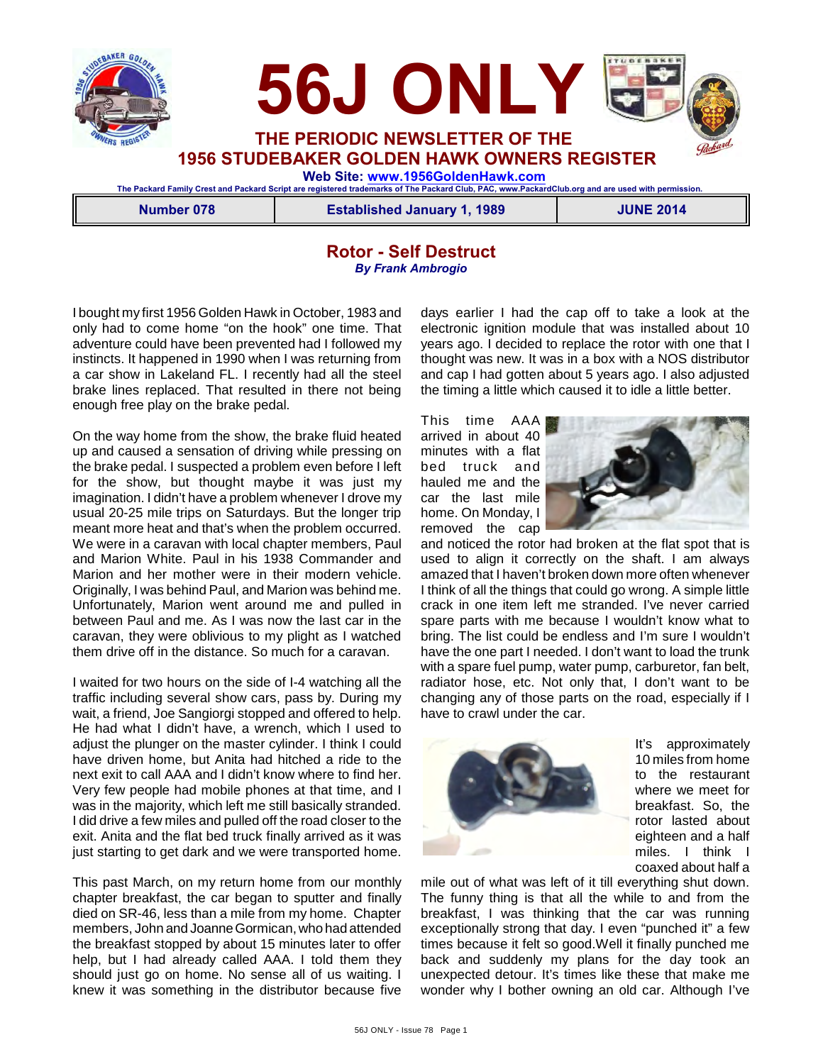



**The Packard Family Crest and Packard Script are registered trademarks of The Packard Club, PAC, www.PackardClub.org and are used with permission.** 

**Number 078 Established January 1, 1989 JUNE 2014**

### **Rotor - Self Destruct** *By Frank Ambrogio*

I bought my first 1956 Golden Hawk in October, 1983 and only had to come home "on the hook" one time. That adventure could have been prevented had I followed my instincts. It happened in 1990 when I was returning from a car show in Lakeland FL. I recently had all the steel brake lines replaced. That resulted in there not being enough free play on the brake pedal.

On the way home from the show, the brake fluid heated up and caused a sensation of driving while pressing on the brake pedal. I suspected a problem even before I left for the show, but thought maybe it was just my imagination. I didn't have a problem whenever I drove my usual 20-25 mile trips on Saturdays. But the longer trip meant more heat and that's when the problem occurred. We were in a caravan with local chapter members, Paul and Marion White. Paul in his 1938 Commander and Marion and her mother were in their modern vehicle. Originally, I was behind Paul, and Marion was behind me. Unfortunately, Marion went around me and pulled in between Paul and me. As I was now the last car in the caravan, they were oblivious to my plight as I watched them drive off in the distance. So much for a caravan.

I waited for two hours on the side of I-4 watching all the traffic including several show cars, pass by. During my wait, a friend, Joe Sangiorgi stopped and offered to help. He had what I didn't have, a wrench, which I used to adjust the plunger on the master cylinder. I think I could have driven home, but Anita had hitched a ride to the next exit to call AAA and I didn't know where to find her. Very few people had mobile phones at that time, and I was in the majority, which left me still basically stranded. I did drive a few miles and pulled off the road closer to the exit. Anita and the flat bed truck finally arrived as it was just starting to get dark and we were transported home.

This past March, on my return home from our monthly chapter breakfast, the car began to sputter and finally died on SR-46, less than a mile from my home. Chapter members, John and Joanne Gormican, who had attended the breakfast stopped by about 15 minutes later to offer help, but I had already called AAA. I told them they should just go on home. No sense all of us waiting. I knew it was something in the distributor because five days earlier I had the cap off to take a look at the electronic ignition module that was installed about 10 years ago. I decided to replace the rotor with one that I thought was new. It was in a box with a NOS distributor and cap I had gotten about 5 years ago. I also adjusted the timing a little which caused it to idle a little better.

This time AAA arrived in about 40 minutes with a flat bed truck and hauled me and the car the last mile home. On Monday, I removed the cap



and noticed the rotor had broken at the flat spot that is used to align it correctly on the shaft. I am always amazed that I haven't broken down more often whenever I think of all the things that could go wrong. A simple little crack in one item left me stranded. I've never carried spare parts with me because I wouldn't know what to bring. The list could be endless and I'm sure I wouldn't have the one part I needed. I don't want to load the trunk with a spare fuel pump, water pump, carburetor, fan belt, radiator hose, etc. Not only that, I don't want to be changing any of those parts on the road, especially if I have to crawl under the car.



It's approximately 10 miles from home to the restaurant where we meet for breakfast. So, the rotor lasted about eighteen and a half miles. I think I coaxed about half a

mile out of what was left of it till everything shut down. The funny thing is that all the while to and from the breakfast, I was thinking that the car was running exceptionally strong that day. I even "punched it" a few times because it felt so good.Well it finally punched me back and suddenly my plans for the day took an unexpected detour. It's times like these that make me wonder why I bother owning an old car. Although I've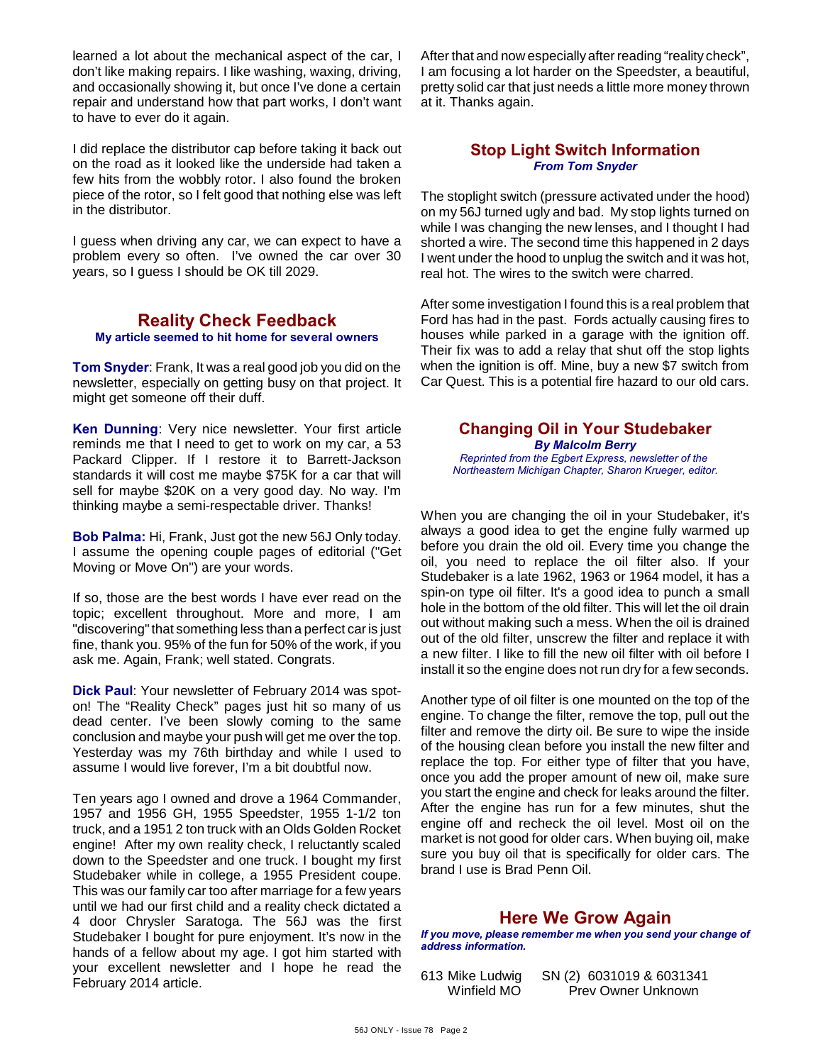learned a lot about the mechanical aspect of the car, I don't like making repairs. I like washing, waxing, driving, and occasionally showing it, but once I've done a certain repair and understand how that part works, I don't want to have to ever do it again.

I did replace the distributor cap before taking it back out on the road as it looked like the underside had taken a few hits from the wobbly rotor. I also found the broken piece of the rotor, so I felt good that nothing else was left in the distributor.

I guess when driving any car, we can expect to have a problem every so often. I've owned the car over 30 years, so I guess I should be OK till 2029.

# **Reality Check Feedback**

**My article seemed to hit home for several owners**

**Tom Snyder**: Frank, It was a real good job you did on the newsletter, especially on getting busy on that project. It might get someone off their duff.

**Ken Dunning**: Very nice newsletter. Your first article reminds me that I need to get to work on my car, a 53 Packard Clipper. If I restore it to Barrett-Jackson standards it will cost me maybe \$75K for a car that will sell for maybe \$20K on a very good day. No way. I'm thinking maybe a semi-respectable driver. Thanks!

**Bob Palma:** Hi, Frank, Just got the new 56J Only today. I assume the opening couple pages of editorial ("Get Moving or Move On") are your words.

If so, those are the best words I have ever read on the topic; excellent throughout. More and more, I am "discovering" that something less than a perfect car is just fine, thank you. 95% of the fun for 50% of the work, if you ask me. Again, Frank; well stated. Congrats.

**Dick Paul**: Your newsletter of February 2014 was spoton! The "Reality Check" pages just hit so many of us dead center. I've been slowly coming to the same conclusion and maybe your push will get me over the top. Yesterday was my 76th birthday and while I used to assume I would live forever, I'm a bit doubtful now.

Ten years ago I owned and drove a 1964 Commander, 1957 and 1956 GH, 1955 Speedster, 1955 1-1/2 ton truck, and a 1951 2 ton truck with an Olds Golden Rocket engine! After my own reality check, I reluctantly scaled down to the Speedster and one truck. I bought my first Studebaker while in college, a 1955 President coupe. This was our family car too after marriage for a few years until we had our first child and a reality check dictated a 4 door Chrysler Saratoga. The 56J was the first Studebaker I bought for pure enjoyment. It's now in the hands of a fellow about my age. I got him started with your excellent newsletter and I hope he read the February 2014 article.

After that and now especially after reading "reality check", I am focusing a lot harder on the Speedster, a beautiful, pretty solid car that just needs a little more money thrown at it. Thanks again.

#### **Stop Light Switch Information** *From Tom Snyder*

The stoplight switch (pressure activated under the hood) on my 56J turned ugly and bad. My stop lights turned on while I was changing the new lenses, and I thought I had shorted a wire. The second time this happened in 2 days I went under the hood to unplug the switch and it was hot, real hot. The wires to the switch were charred.

After some investigation I found this is a real problem that Ford has had in the past. Fords actually causing fires to houses while parked in a garage with the ignition off. Their fix was to add a relay that shut off the stop lights when the ignition is off. Mine, buy a new \$7 switch from Car Quest. This is a potential fire hazard to our old cars.

### **Changing Oil in Your Studebaker** *By Malcolm Berry*

*Reprinted from the Egbert Express, newsletter of the Northeastern Michigan Chapter, Sharon Krueger, editor.*

When you are changing the oil in your Studebaker, it's always a good idea to get the engine fully warmed up before you drain the old oil. Every time you change the oil, you need to replace the oil filter also. If your Studebaker is a late 1962, 1963 or 1964 model, it has a spin-on type oil filter. It's a good idea to punch a small hole in the bottom of the old filter. This will let the oil drain out without making such a mess. When the oil is drained out of the old filter, unscrew the filter and replace it with a new filter. I like to fill the new oil filter with oil before I install it so the engine does not run dry for a few seconds.

Another type of oil filter is one mounted on the top of the engine. To change the filter, remove the top, pull out the filter and remove the dirty oil. Be sure to wipe the inside of the housing clean before you install the new filter and replace the top. For either type of filter that you have, once you add the proper amount of new oil, make sure you start the engine and check for leaks around the filter. After the engine has run for a few minutes, shut the engine off and recheck the oil level. Most oil on the market is not good for older cars. When buying oil, make sure you buy oil that is specifically for older cars. The brand I use is Brad Penn Oil.

# **Here We Grow Again**

*If you move, please remember me when you send your change of address information.*

613 Mike Ludwig SN (2) 6031019 & 6031341 Prev Owner Unknown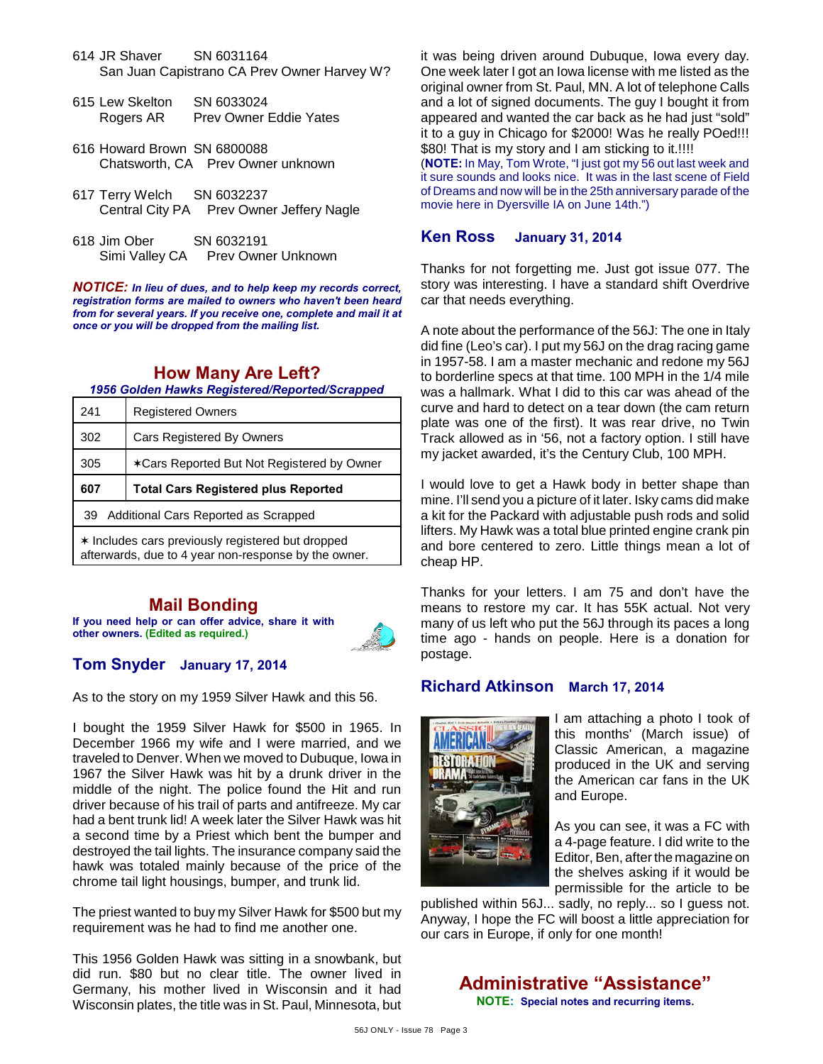- 614 JR Shaver SN 6031164 San Juan Capistrano CA Prev Owner Harvey W?
- 615 Lew Skelton SN 6033024 Rogers AR Prev Owner Eddie Yates
- 616 Howard Brown SN 6800088 Chatsworth, CA Prev Owner unknown
- 617 Terry Welch SN 6032237 Central City PA Prev Owner Jeffery Nagle
- 618 Jim Ober SN 6032191 Simi Valley CA Prev Owner Unknown

*NOTICE: In lieu of dues, and to help keep my records correct, registration forms are mailed to owners who haven't been heard from for several years. If you receive one, complete and mail it at once or you will be dropped from the mailing list.*

# **How Many Are Left?**

*1956 Golden Hawks Registered/Reported/Scrapped*

| 241                                                                                                       | <b>Registered Owners</b>                   |
|-----------------------------------------------------------------------------------------------------------|--------------------------------------------|
| 302                                                                                                       | <b>Cars Registered By Owners</b>           |
| 305                                                                                                       | *Cars Reported But Not Registered by Owner |
| 607                                                                                                       | <b>Total Cars Registered plus Reported</b> |
| 39 Additional Cars Reported as Scrapped                                                                   |                                            |
| * Includes cars previously registered but dropped<br>afterwards, due to 4 year non-response by the owner. |                                            |

# **Mail Bonding**

**If you need help or can offer advice, share it with other owners. (Edited as required.)**



# **Tom Snyder January 17, 2014**

As to the story on my 1959 Silver Hawk and this 56.

I bought the 1959 Silver Hawk for \$500 in 1965. In December 1966 my wife and I were married, and we traveled to Denver. When we moved to Dubuque, Iowa in 1967 the Silver Hawk was hit by a drunk driver in the middle of the night. The police found the Hit and run driver because of his trail of parts and antifreeze. My car had a bent trunk lid! A week later the Silver Hawk was hit a second time by a Priest which bent the bumper and destroyed the tail lights. The insurance company said the hawk was totaled mainly because of the price of the chrome tail light housings, bumper, and trunk lid.

The priest wanted to buy my Silver Hawk for \$500 but my requirement was he had to find me another one.

This 1956 Golden Hawk was sitting in a snowbank, but did run. \$80 but no clear title. The owner lived in Germany, his mother lived in Wisconsin and it had Wisconsin plates, the title was in St. Paul, Minnesota, but it was being driven around Dubuque, Iowa every day. One week later I got an Iowa license with me listed as the original owner from St. Paul, MN. A lot of telephone Calls and a lot of signed documents. The guy I bought it from appeared and wanted the car back as he had just "sold" it to a guy in Chicago for \$2000! Was he really POed!!! \$80! That is my story and I am sticking to it.!!!!

(**NOTE:** In May, Tom Wrote, "I just got my 56 out last week and it sure sounds and looks nice. It was in the last scene of Field of Dreams and now will be in the 25th anniversary parade of the movie here in Dyersville IA on June 14th.")

### **Ken Ross January 31, 2014**

Thanks for not forgetting me. Just got issue 077. The story was interesting. I have a standard shift Overdrive car that needs everything.

A note about the performance of the 56J: The one in Italy did fine (Leo's car). I put my 56J on the drag racing game in 1957-58. I am a master mechanic and redone my 56J to borderline specs at that time. 100 MPH in the 1/4 mile was a hallmark. What I did to this car was ahead of the curve and hard to detect on a tear down (the cam return plate was one of the first). It was rear drive, no Twin Track allowed as in '56, not a factory option. I still have my jacket awarded, it's the Century Club, 100 MPH.

I would love to get a Hawk body in better shape than mine. I'll send you a picture of it later. Isky cams did make a kit for the Packard with adjustable push rods and solid lifters. My Hawk was a total blue printed engine crank pin and bore centered to zero. Little things mean a lot of cheap HP.

Thanks for your letters. I am 75 and don't have the means to restore my car. It has 55K actual. Not very many of us left who put the 56J through its paces a long time ago - hands on people. Here is a donation for postage.

### **Richard Atkinson March 17, 2014**



I am attaching a photo I took of this months' (March issue) of Classic American, a magazine produced in the UK and serving the American car fans in the UK and Europe.

As you can see, it was a FC with a 4-page feature. I did write to the Editor, Ben, after the magazine on the shelves asking if it would be permissible for the article to be

published within 56J... sadly, no reply... so I guess not. Anyway, I hope the FC will boost a little appreciation for our cars in Europe, if only for one month!

**Administrative "Assistance"**

**NOTE: Special notes and recurring items.**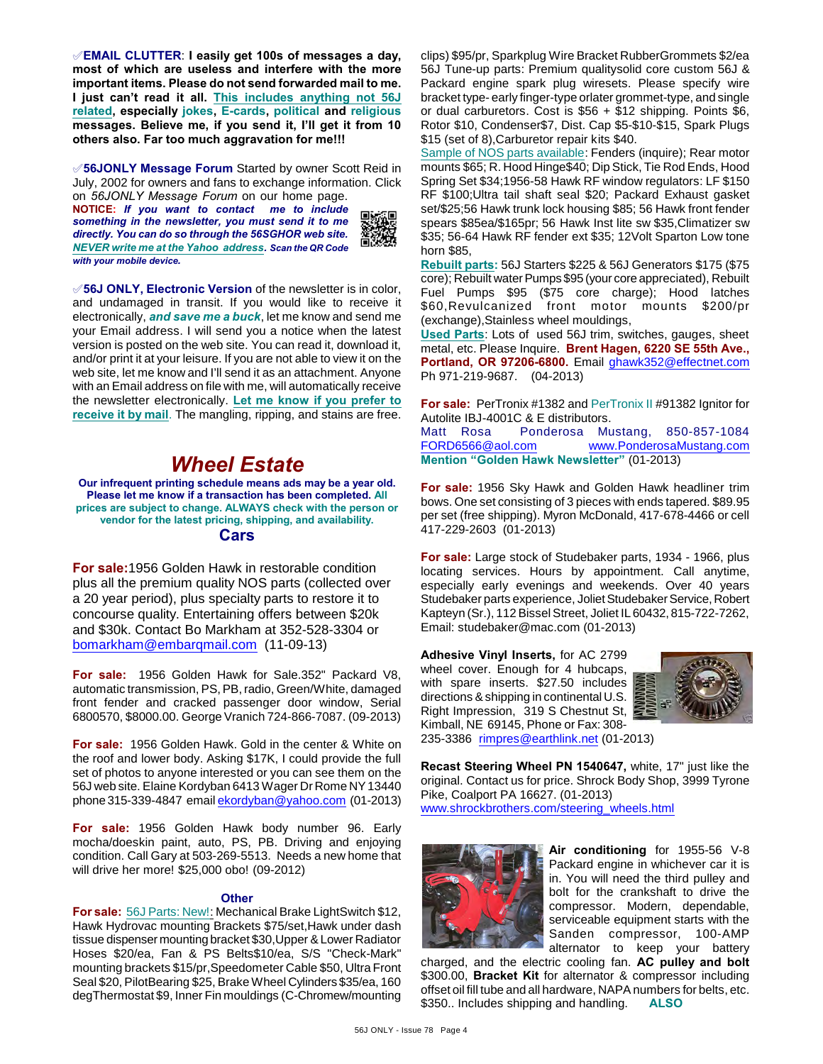°**EMAIL CLUTTER**: **I easily get 100s of messages a day, most of which are useless and interfere with the more important items. Please do not send forwarded mail to me. I just can't read it all. This includes anything not 56J related, especially jokes, E-cards, political and religious messages. Believe me, if you send it, I'll get it from 10 others also. Far too much aggravation for me!!!**

°**56JONLY Message Forum** Started by owner Scott Reid in July, 2002 for owners and fans to exchange information. Click

on *56JONLY Message Forum* on our home page. **NOTICE:** *If you want to contact me to include something in the newsletter, you must send it to me directly. You can do so through the 56SGHOR web site. NEVER write me at the Yahoo address. Scan the QR Code with your mobile device.* 



°**56J ONLY, Electronic Version** of the newsletter is in color, and undamaged in transit. If you would like to receive it electronically, *and save me a buck*, let me know and send me your Email address. I will send you a notice when the latest version is posted on the web site. You can read it, download it, and/or print it at your leisure. If you are not able to view it on the web site, let me know and I'll send it as an attachment. Anyone with an Email address on file with me, will automatically receive the newsletter electronically. **Let me know if you prefer to receive it by mail**. The mangling, ripping, and stains are free.

# *Wheel Estate*

**Our infrequent printing schedule means ads may be a year old. Please let me know if a transaction has been completed. All prices are subject to change. ALWAYS check with the person or vendor for the latest pricing, shipping, and availability. Cars**

**For sale:**1956 Golden Hawk in restorable condition plus all the premium quality NOS parts (collected over a 20 year period), plus specialty parts to restore it to concourse quality. Entertaining offers between \$20k and \$30k. Contact Bo Markham at 352-528-3304 or [bomarkham@embarqmail.com](mailto:bomarkham@embarqmail.com) (11-09-13)

**For sale:** 1956 Golden Hawk for Sale.352" Packard V8, automatic transmission, PS, PB, radio, Green/White, damaged front fender and cracked passenger door window, Serial 6800570, \$8000.00. George Vranich 724-866-7087. (09-2013)

**For sale:** 1956 Golden Hawk. Gold in the center & White on the roof and lower body. Asking \$17K, I could provide the full set of photos to anyone interested or you can see them on the 56J web site. Elaine Kordyban 6413 Wager Dr Rome NY 13440 phone 315-339-4847 email [ekordyban@yahoo.com](mailto:ekordyban@yahoo.com) (01-2013)

**For sale:** 1956 Golden Hawk body number 96. Early mocha/doeskin paint, auto, PS, PB. Driving and enjoying condition. Call Gary at 503-269-5513. Needs a new home that will drive her more! \$25,000 obo! (09-2012)

#### **Other**

**For sale:** 56J Parts: New!: Mechanical Brake LightSwitch \$12, Hawk Hydrovac mounting Brackets \$75/set,Hawk under dash tissue dispenser mounting bracket \$30,Upper & Lower Radiator Hoses \$20/ea, Fan & PS Belts\$10/ea, S/S "Check-Mark" mounting brackets \$15/pr,Speedometer Cable \$50, Ultra Front Seal \$20, PilotBearing \$25, Brake Wheel Cylinders \$35/ea, 160 degThermostat \$9, Inner Fin mouldings (C-Chromew/mounting

clips) \$95/pr, Sparkplug Wire Bracket RubberGrommets \$2/ea 56J Tune-up parts: Premium qualitysolid core custom 56J & Packard engine spark plug wiresets. Please specify wire bracket type- early finger-type orlater grommet-type, and single or dual carburetors. Cost is  $$56 + $12$  shipping. Points  $$6$ , Rotor \$10, Condenser\$7, Dist. Cap \$5-\$10-\$15, Spark Plugs \$15 (set of 8),Carburetor repair kits \$40.

Sample of NOS parts available: Fenders (inquire); Rear motor mounts \$65; R. Hood Hinge\$40; Dip Stick, Tie Rod Ends, Hood Spring Set \$34;1956-58 Hawk RF window regulators: LF \$150 RF \$100;Ultra tail shaft seal \$20; Packard Exhaust gasket set/\$25;56 Hawk trunk lock housing \$85; 56 Hawk front fender spears \$85ea/\$165pr; 56 Hawk Inst lite sw \$35,Climatizer sw \$35; 56-64 Hawk RF fender ext \$35; 12Volt Sparton Low tone horn \$85,

**Rebuilt parts:** 56J Starters \$225 & 56J Generators \$175 (\$75 core); Rebuilt water Pumps \$95 (your core appreciated), Rebuilt Fuel Pumps \$95 (\$75 core charge); Hood latches \$60,Revulcanized front motor mounts \$200/pr (exchange),Stainless wheel mouldings,

**Used Parts**: Lots of used 56J trim, switches, gauges, sheet metal, etc. Please Inquire. **Brent Hagen, 6220 SE 55th Ave., Portland, OR 97206-6800.** Email [ghawk352@effectnet.com](mailto:ghawk352@effectnet.com) Ph 971-219-9687. (04-2013)

**For sale:** PerTronix #1382 and PerTronix II #91382 Ignitor for Autolite IBJ-4001C & E distributors.

Matt Rosa Ponderosa Mustang, 850-857-1084 [FORD6566@aol.com](mailto:FORD6566@aol.com) [www.PonderosaMustang.com](http://www.PonderosaMustang.com) **Mention "Golden Hawk Newsletter"** (01-2013)

**For sale:** 1956 Sky Hawk and Golden Hawk headliner trim bows. One set consisting of 3 pieces with ends tapered. \$89.95 per set (free shipping). Myron McDonald, 417-678-4466 or cell 417-229-2603 (01-2013)

**For sale:** Large stock of Studebaker parts, 1934 - 1966, plus locating services. Hours by appointment. Call anytime, especially early evenings and weekends. Over 40 years Studebaker parts experience, Joliet Studebaker Service, Robert Kapteyn (Sr.), 112 Bissel Street, Joliet IL 60432, 815-722-7262, Email: studebaker@mac.com (01-2013)

**Adhesive Vinyl Inserts,** for AC 2799 wheel cover. Enough for 4 hubcaps, with spare inserts. \$27.50 includes directions & shipping in continental U.S. Right Impression, 319 S Chestnut St, Kimball, NE 69145, Phone or Fax: 308- 235-3386 [rimpres@earthlink.net](mailto:rimpres@earthlink.net) (01-2013)



**Recast Steering Wheel PN 1540647,** white, 17" just like the original. Contact us for price. Shrock Body Shop, 3999 Tyrone Pike, Coalport PA 16627. (01-2013) [www.shrockbrothers.com/steering\\_wheels.html](http://www.shrockbrothers.com/steering_wheels.html)



**Air conditioning** for 1955-56 V-8 Packard engine in whichever car it is in. You will need the third pulley and bolt for the crankshaft to drive the compressor. Modern, dependable, serviceable equipment starts with the Sanden compressor, 100-AMP alternator to keep your battery

charged, and the electric cooling fan. **AC pulley and bolt** \$300.00, **Bracket Kit** for alternator & compressor including offset oil fill tube and all hardware, NAPA numbers for belts, etc. \$350.. Includes shipping and handling. **ALSO**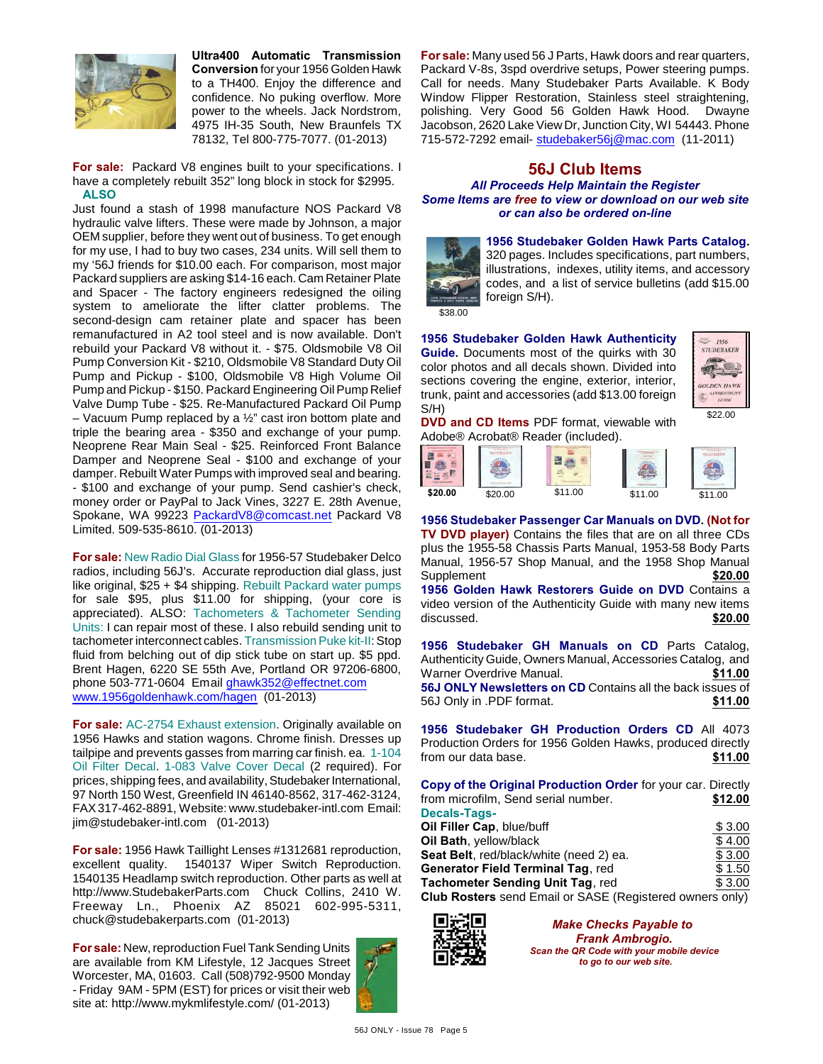

**Ultra400 Automatic Transmission Conversion** for your 1956 Golden Hawk to a TH400. Enjoy the difference and confidence. No puking overflow. More power to the wheels. Jack Nordstrom, 4975 IH-35 South, New Braunfels TX 78132, Tel 800-775-7077. (01-2013)

**For sale:** Packard V8 engines built to your specifications. I have a completely rebuilt 352" long block in stock for \$2995. **ALSO**

Just found a stash of 1998 manufacture NOS Packard V8 hydraulic valve lifters. These were made by Johnson, a major OEM supplier, before they went out of business. To get enough for my use, I had to buy two cases, 234 units. Will sell them to my '56J friends for \$10.00 each. For comparison, most major Packard suppliers are asking \$14-16 each. Cam Retainer Plate and Spacer - The factory engineers redesigned the oiling system to ameliorate the lifter clatter problems. The second-design cam retainer plate and spacer has been remanufactured in A2 tool steel and is now available. Don't rebuild your Packard V8 without it. - \$75. Oldsmobile V8 Oil Pump Conversion Kit - \$210, Oldsmobile V8 Standard Duty Oil Pump and Pickup - \$100, Oldsmobile V8 High Volume Oil Pump and Pickup - \$150. Packard Engineering Oil Pump Relief Valve Dump Tube - \$25. Re-Manufactured Packard Oil Pump – Vacuum Pump replaced by a  $\frac{1}{2}$ " cast iron bottom plate and triple the bearing area - \$350 and exchange of your pump. Neoprene Rear Main Seal - \$25. Reinforced Front Balance Damper and Neoprene Seal - \$100 and exchange of your damper. Rebuilt Water Pumps with improved seal and bearing. - \$100 and exchange of your pump. Send cashier's check, money order or PayPal to Jack Vines, 3227 E. 28th Avenue, Spokane, WA 99223 [PackardV8@comcast.net](mailto:PackardV8@comcast.net) Packard V8 Limited. 509-535-8610. (01-2013)

**For sale:** New Radio Dial Glass for 1956-57 Studebaker Delco radios, including 56J's. Accurate reproduction dial glass, just like original, \$25 + \$4 shipping. Rebuilt Packard water pumps for sale \$95, plus \$11.00 for shipping, (your core is appreciated). ALSO: Tachometers & Tachometer Sending Units: I can repair most of these. I also rebuild sending unit to tachometer interconnect cables. Transmission Puke kit-II: Stop fluid from belching out of dip stick tube on start up. \$5 ppd. Brent Hagen, 6220 SE 55th Ave, Portland OR 97206-6800, phone 503-771-0604 Email [ghawk352@effectnet.com](mailto:ghawk352@effectnet.com) [www.1956goldenhawk.com/hagen](http://www.1956goldenhawk.com/hagen) (01-2013)

**For sale:** AC-2754 Exhaust extension. Originally available on 1956 Hawks and station wagons. Chrome finish. Dresses up tailpipe and prevents gasses from marring car finish. ea. 1-104 Oil Filter Decal. 1-083 Valve Cover Decal (2 required). For prices, shipping fees, and availability, Studebaker International, 97 North 150 West, Greenfield IN 46140-8562, 317-462-3124, FAX 317-462-8891, Website: www.studebaker-intl.com Email: jim@studebaker-intl.com (01-2013)

**For sale:** 1956 Hawk Taillight Lenses #1312681 reproduction, excellent quality. 1540137 Wiper Switch Reproduction. 1540135 Headlamp switch reproduction. Other parts as well at http://www.StudebakerParts.com Chuck Collins, 2410 W. Freeway Ln., Phoenix AZ 85021 602-995-5311, chuck@studebakerparts.com (01-2013)

**For sale:** New, reproduction Fuel Tank Sending Units are available from KM Lifestyle, 12 Jacques Street Worcester, MA, 01603. Call (508)792-9500 Monday - Friday 9AM - 5PM (EST) for prices or visit their web site at: http://www.mykmlifestyle.com/ (01-2013)



**For sale:** Many used 56 J Parts, Hawk doors and rear quarters, Packard V-8s, 3spd overdrive setups, Power steering pumps. Call for needs. Many Studebaker Parts Available. K Body Window Flipper Restoration, Stainless steel straightening, polishing. Very Good 56 Golden Hawk Hood. Dwayne Jacobson, 2620 Lake View Dr, Junction City, WI 54443. Phone 715-572-7292 email- [studebaker56j@mac.com](mailto:studebaker56j@mac.com) (11-2011)

#### **56J Club Items** *All Proceeds Help Maintain the Register Some Items are free to view or download on our web site or can also be ordered on-line*



**1956 Studebaker Golden Hawk Parts Catalog.** 320 pages. Includes specifications, part numbers, illustrations, indexes, utility items, and accessory codes, and a list of service bulletins (add \$15.00 foreign S/H).

\$38.00

**1956 Studebaker Golden Hawk Authenticity Guide.** Documents most of the quirks with 30 color photos and all decals shown. Divided into sections covering the engine, exterior, interior, trunk, paint and accessories (add \$13.00 foreign S/H)



\$22.00

**DVD and CD Items** PDF format, viewable with Adobe® Acrobat® Reader (included).



**1956 Studebaker Passenger Car Manuals on DVD. (Not for TV DVD player)** Contains the files that are on all three CDs plus the 1955-58 Chassis Parts Manual, 1953-58 Body Parts Manual, 1956-57 Shop Manual, and the 1958 Shop Manual Supplement **\$20.00 1956 Golden Hawk Restorers Guide on DVD** Contains a video version of the Authenticity Guide with many new items<br>discussed. **\$20.00** discussed.

**1956 Studebaker GH Manuals on CD** Parts Catalog, Authenticity Guide, Owners Manual, Accessories Catalog, and Warner Overdrive Manual. **\$11.00 56J ONLY Newsletters on CD** Contains all the back issues of 56J Only in .PDF format. **\$11.00**

**1956 Studebaker GH Production Orders CD** All 4073 Production Orders for 1956 Golden Hawks, produced directly from our data base. **\$11.00**

**Copy of the Original Production Order** for your car. Directly from microfilm, Send serial number. **\$12.00 Decals-Tags-Oil Filler Cap**, blue/buff  $$3.00$ **Oil Bath**, yellow/black  $$ 4.00$ **Seat Belt**, red/black/white (need 2) ea. \$ 3.00 **Generator Field Terminal Tag, red**  $$ 1.50$ **Tachometer Sending Unit Tag, red**  $$3.00$ **Club Rosters** send Email or SASE (Registered owners only)



*Make Checks Payable to Frank Ambrogio. Scan the QR Code with your mobile device to go to our web site.*